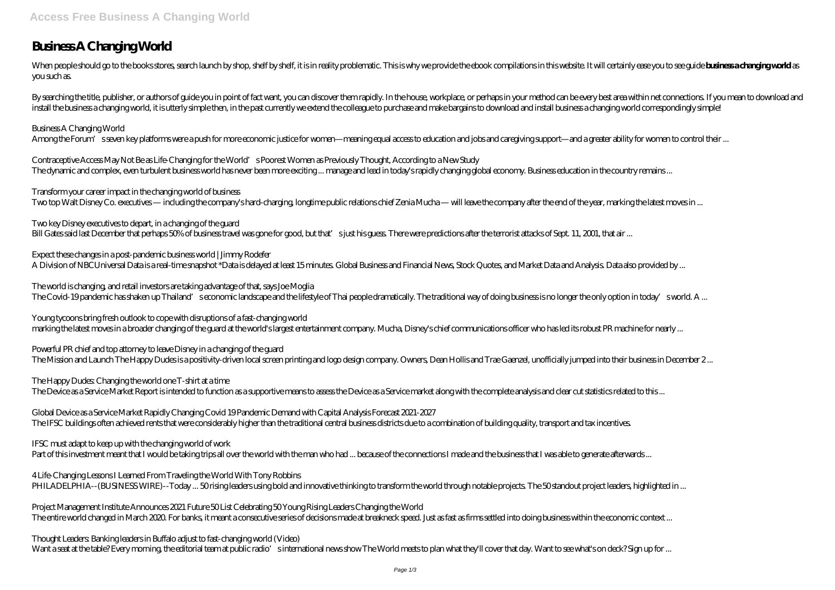# **Business A Changing World**

When people should go to the books stores, search launch by shop, shelf by shelf, it is in reality problematic. This is why we provide the ebook compilations in this website. It will certainly ease you to see guide busines you such as.

By searching the title, publisher, or authors of guide you in point of fact want, you can discover them rapidly. In the house, workplace, or perhaps in your method can be every best area within net connections. If you mean install the business a changing world, it is utterly simple then, in the past currently we extend the colleague to purchase and make bargains to download and install business a changing world correspondingly simple!

### *Business A Changing World*

Among the Forum's seven key platforms were a push for more economic justice for women—meaning equal access to education and jobs and caregiving support—and a greater ability for women to control their ...

*Two key Disney executives to depart, in a changing of the guard* Bill Gates said last December that perhaps 50% of business travel was gone for good, but that's just his guess. There were predictions after the terrorist attacks of Sept. 11, 2001, that air ...

*The world is changing, and retail investors are taking advantage of that, says Joe Moglia* The Covid-19 pandemic has shaken up Thailand's economic landscape and the lifestyle of Thai people dramatically. The traditional way of doing business is no longer the only option in today's world. A ...

*Contraceptive Access May Not Be as Life-Changing for the World's Poorest Women as Previously Thought, According to a New Study* The dynamic and complex, even turbulent business world has never been more exciting ... manage and lead in today's rapidly changing global economy. Business education in the country remains ...

*Powerful PR chief and top attorney to leave Disney in a changing of the guard* The Mission and Launch The Happy Dudes is a positivity-driven local screen printing and logo design company. Owners, Dean Hollis and Trae Gaenzel, unofficially jumped into their business in December 2...

*Transform your career impact in the changing world of business* Two top Walt Disney Co. executives — including the company's hard-charging, longtime public relations chief Zenia Mucha — will leave the company after the end of the year, marking the latest moves in ...

*Expect these changes in a post-pandemic business world | Jimmy Rodefer* A Division of NBCUniversal Data is a real-time snapshot \*Data is delayed at least 15 minutes. Global Business and Financial News, Stock Quotes, and Market Data and Analysis. Data also provided by ...

*Young tycoons bring fresh outlook to cope with disruptions of a fast-changing world* marking the latest moves in a broader changing of the guard at the world's largest entertainment company. Mucha, Disney's chief communications officer who has led its robust PR machine for nearly ...

### *The Happy Dudes: Changing the world one T-shirt at a time*

The Device as a Service Market Report is intended to function as a supportive means to assess the Device as a Service market along with the complete analysis and clear cut statistics related to this ...

*Global Device as a Service Market Rapidly Changing Covid 19 Pandemic Demand with Capital Analysis Forecast 2021-2027* The IFSC buildings often achieved rents that were considerably higher than the traditional central business districts due to a combination of building quality, transport and tax incentives.

*IFSC must adapt to keep up with the changing world of work*

Part of this investment meant that I would be taking trips all over the world with the man who had ... because of the connections I made and the business that I was able to generate afterwards ...

*4 Life-Changing Lessons I Learned From Traveling the World With Tony Robbins*

PHILADELPHIA--(BUSINESS WIRE)--Today ... 50 rising leaders using bold and innovative thinking to transform the world through notable projects. The 50 standout project leaders, highlighted in ...

*Project Management Institute Announces 2021 Future 50 List Celebrating 50 Young Rising Leaders Changing the World* The entire world changed in March 2020. For banks, it meant a consecutive series of decisions made at breakneck speed. Just as fast as firms settled into doing business within the economic context ...

*Thought Leaders: Banking leaders in Buffalo adjust to fast-changing world (Video)*

Want a seat at the table? Every morning, the editorial team at public radio's international news show The World meets to plan what they'll cover that day. Want to see what's on deck? Sign up for ...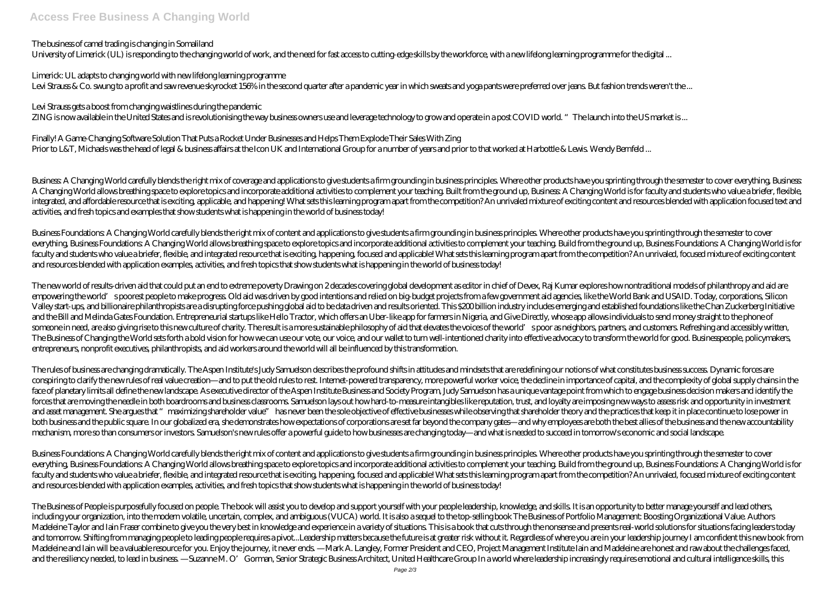### **Access Free Business A Changing World**

### *The business of camel trading is changing in Somaliland*

*Limerick: UL adapts to changing world with new lifelong learning programme* Levi Strauss & Co. swung to a profit and saw revenue skyrocket 156% in the second quarter after a pandemic year in which sweats and yoga pants were preferred over jeans. But fashion trends weren't the ...

University of Limerick (UL) is responding to the changing world of work, and the need for fast access to cutting-edge skills by the workforce, with a new lifelong learning programme for the digital ...

*Finally! A Game-Changing Software Solution That Puts a Rocket Under Businesses and Helps Them Explode Their Sales With Zing* Prior to L&T, Michaels was the head of legal & business affairs at the Icon UK and International Group for a number of years and prior to that worked at Harbottle & Lewis. Wendy Bernfeld ...

#### *Levi Strauss gets a boost from changing waistlines during the pandemic*

ZING is now available in the United States and is revolutionising the way business owners use and leverage technology to grow and operate in a post COVID world. "The launch into the US market is...

Business A Changing World carefully blends the right mix of coverage and applications to give students a firm grounding in business principles. Where other products have you sprinting through the semester to cover everythi A Changing World allows breathing space to explore topics and incorporate additional activities to complement your teaching. Built from the ground up, Business A Changing World is for faculty and students who value a brief integrated, and affordable resource that is exciting, applicable, and happening! What sets this learning program apart from the competition? An unrivaled mixture of exciting content and resources blended with application f activities, and fresh topics and examples that show students what is happening in the world of business today!

Business Foundations A Changing World carefully blends the right mix of content and applications to give students a firm grounding in business principles. Where other products have you sprinting through the semester to cov everything, Business Foundations. A Changing World allows breathing space to explore topics and incorporate additional activities to complement your teaching. Build from the ground up, Business Foundations. A Changing Worl faculty and students who value a briefer, flexible, and integrated resource that is exciting, happening, focused and applicable! What sets this learning program apart from the competition? An unrivaled, focused mixture of and resources blended with application examples, activities, and fresh topics that show students what is happening in the world of business today!

The new world of results-driven aid that could put an end to extreme poverty Drawing on 2 decades covering global development as editor in chief of Devex, Raj Kumar explores how nontraditional models of philanthropy and ai empowering the world's poorest people to make progress. Old aid was driven by good intentions and relied on big-budget projects from a few government aid agencies, like the World Bank and USAID. Today, corporations, Silicon Valley start-ups, and billionaire philanthropists are a disrupting force pushing global aid to be data driven and results oriented. This \$200 billion industry includes emerging and established foundations like the Chan Zuc and the Bill and Melinda Gates Foundation. Entrepreneurial startups like Hello Tractor, which offers an Uber-like app for farmers in Nigeria, and Give Directly, whose app allows individuals to send money straight to the ph someone in need, are also giving rise to this new culture of charity. The result is a more sustainable philosophy of aid that elevates the voices of the world' spoor as neighbors, partners, and customers. Refreshing and ac The Business of Changing the World sets forth a bold vision for how we can use our vote, our voice, and our wallet to turn well-intentioned charity into effective advocacy to transform the world for good. Businesspeople, p entrepreneurs, nonprofit executives, philanthropists, and aid workers around the world will all be influenced by this transformation.

The rules of business are changing dramatically. The Aspen Institute's Judy Samuelson describes the profound shifts in attitudes and mindsets that are redefining our notions of what constitutes business success. Dynamic fo conspiring to clarify the new rules of real value creation—and to put the old rules to rest. Internet-powered transparency, more powerful worker voice, the decline in importance of capital, and the complexity of global sup face of planetary limits all define the new landscape. As executive director of the Aspen Institute Business and Society Program, Judy Samuelson has a unique vantage point from which to engage business decision makers and forces that are moving the needle in both boardrooms and business classrooms. Samuelson lays out how hard-to-measure intangibles like reputation, trust, and loyalty are imposing new ways to assess risk and opportunity in i and asset management. She argues that " maximizing shareholder value" has never been the sole objective of effective businesses while observing that shareholder theory and the practices that keep it in place continue to lo both business and the public square. In our globalized era, she demonstrates how expectations of corporations are set far beyond the company gates—and why employees are both the best allies of the business and the new acco mechanism, more so than consumers or investors. Samuelson's new rules offer a powerful guide to how businesses are changing today—and what is needed to succeed in tomorrow's economic and social landscape.

Business Foundations A Changing World carefully blends the right mix of content and applications to give students a firm grounding in business principles. Where other products have you sprinting through the semester to cov everything, Business Foundations. A Changing World allows breathing space to explore topics and incorporate additional activities to complement your teaching. Build from the ground up, Business Foundations. A Changing Worl faculty and students who value a briefer, flexible, and integrated resource that is exciting, happening, focused and applicable! What sets this learning program apart from the competition? An unrivaled, focused mixture of and resources blended with application examples, activities, and fresh topics that show students what is happening in the world of business today!

The Business of People is purposefully focused on people. The book will assist you to develop and support yourself with your people leadership, knowledge, and skills. It is an opportunity to better manage yourself and lead including your organization, into the modern volatile, uncertain, complex, and ambiguous (VUCA) world. It is also a sequel to the top-selling book The Business of Portfolio Management: Boosting Organizational Value. Authors Madeleine Taylor and Iain Fraser combine to give you the very best in knowledge and experience in a variety of situations. This is a book that cuts through the nonsense and presents real-world solutions for situations faci and tomorrow. Shifting from managing people to leading people requires a pivot...Leadership matters because the future is at greater risk without it. Regardless of where you are in your leadership journey I am confident th Madeleine and Iain will be a valuable resource for you. Enjoy the journey, it never ends —Mark A. Langley, Former President and CEO, Project Management Institute Iain and Madeleine are honest and raw about the challenges f and the resiliency needed, to lead in business —Suzanne M. O' Gorman, Senior Strategic Business Architect, United Healthcare Group In a world where leadership increasingly requires emotional and cultural intelligence skill